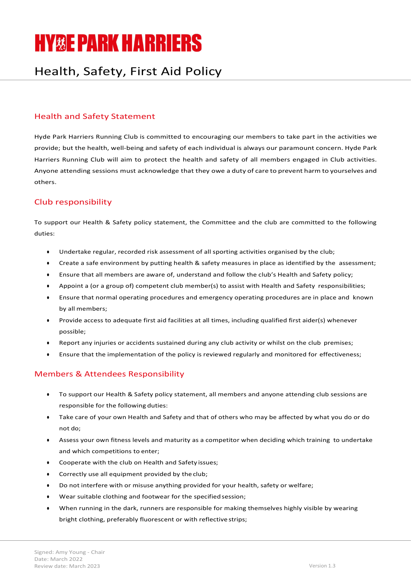# **HY&E PARK HARRIERS**

## Health, Safety, First Aid Policy

### Health and Safety Statement

Hyde Park Harriers Running Club is committed to encouraging our members to take part in the activities we provide; but the health, well-being and safety of each individual is always our paramount concern. Hyde Park Harriers Running Club will aim to protect the health and safety of all members engaged in Club activities. Anyone attending sessions must acknowledge that they owe a duty of care to prevent harm to yourselves and others.

#### Club responsibility

To support our Health & Safety policy statement, the Committee and the club are committed to the following duties:

- Undertake regular, recorded risk assessment of all sporting activities organised by the club;
- Create a safe environment by putting health & safety measures in place as identified by the assessment;
- Ensure that all members are aware of, understand and follow the club's Health and Safety policy;
- Appoint a (or a group of) competent club member(s) to assist with Health and Safety responsibilities;
- Ensure that normal operating procedures and emergency operating procedures are in place and known by all members;
- Provide access to adequate first aid facilities at all times, including qualified first aider(s) whenever possible;
- Report any injuries or accidents sustained during any club activity or whilst on the club premises;
- Ensure that the implementation of the policy is reviewed regularly and monitored for effectiveness;

#### Members & Attendees Responsibility

- To support our Health & Safety policy statement, all members and anyone attending club sessions are responsible for the following duties:
- Take care of your own Health and Safety and that of others who may be affected by what you do or do not do;
- Assess your own fitness levels and maturity as a competitor when deciding which training to undertake and which competitions to enter;
- Cooperate with the club on Health and Safety issues;
- Correctly use all equipment provided by the club;
- Do not interfere with or misuse anything provided for your health, safety or welfare;
- Wear suitable clothing and footwear for the specified session;
- When running in the dark, runners are responsible for making themselves highly visible by wearing bright clothing, preferably fluorescent or with reflective strips;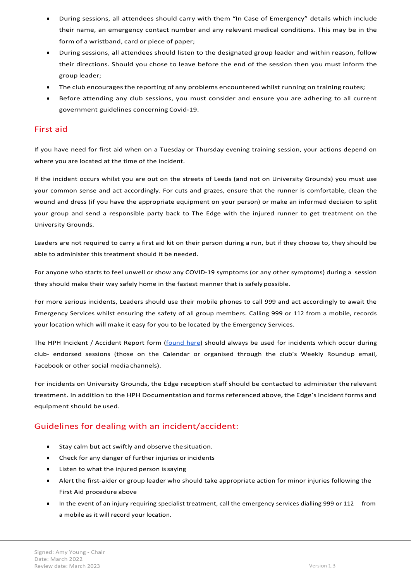- During sessions, all attendees should carry with them "In Case of Emergency" details which include their name, an emergency contact number and any relevant medical conditions. This may be in the form of a wristband, card or piece of paper;
- During sessions, all attendees should listen to the designated group leader and within reason, follow their directions. Should you chose to leave before the end of the session then you must inform the group leader;
- The club encourages the reporting of any problems encountered whilst running on training routes;
- Before attending any club sessions, you must consider and ensure you are adhering to all current government guidelines concerning Covid-19.

#### First aid

If you have need for first aid when on a Tuesday or Thursday evening training session, your actions depend on where you are located at the time of the incident.

If the incident occurs whilst you are out on the streets of Leeds (and not on University Grounds) you must use your common sense and act accordingly. For cuts and grazes, ensure that the runner is comfortable, clean the wound and dress (if you have the appropriate equipment on your person) or make an informed decision to split your group and send a responsible party back to The Edge with the injured runner to get treatment on the University Grounds.

Leaders are not required to carry a first aid kit on their person during a run, but if they choose to, they should be able to administer this treatment should it be needed.

For anyone who starts to feel unwell or show any COVID-19 symptoms (or any other symptoms) during a session they should make their way safely home in the fastest manner that is safely possible.

For more serious incidents, Leaders should use their mobile phones to call 999 and act accordingly to await the Emergency Services whilst ensuring the safety of all group members. Calling 999 or 112 from a mobile, records your location which will make it easy for you to be located by the Emergency Services.

The HPH Incident / Accident Report form (*found here*) should always be used for incidents which occur during club- endorsed sessions (those on the Calendar or organised through the club's Weekly Roundup email, Facebook or other social media channels).

For incidents on University Grounds, the Edge reception staff should be contacted to administer the relevant treatment. In addition to the HPH Documentation and forms referenced above, the Edge's Incident forms and equipment should be used.

#### Guidelines for dealing with an incident/accident:

- Stay calm but act swiftly and observe the situation.
- Check for any danger of further injuries or incidents
- Listen to what the injured person is saying
- Alert the first-aider or group leader who should take appropriate action for minor injuries following the First Aid procedure above
- In the event of an injury requiring specialist treatment, call the emergency services dialling 999 or 112 from a mobile as it will record your location.